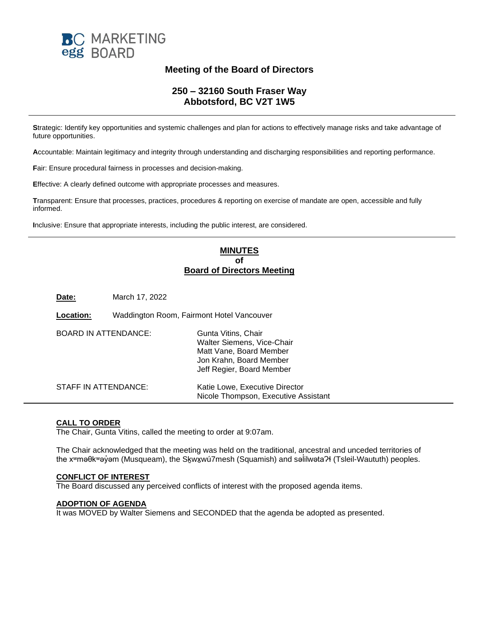

# **Meeting of the Board of Directors**

# **250 – 32160 South Fraser Way Abbotsford, BC V2T 1W5**

**S**trategic: Identify key opportunities and systemic challenges and plan for actions to effectively manage risks and take advantage of future opportunities.

**A**ccountable: Maintain legitimacy and integrity through understanding and discharging responsibilities and reporting performance.

**F**air: Ensure procedural fairness in processes and decision-making.

**E**ffective: A clearly defined outcome with appropriate processes and measures.

**T**ransparent: Ensure that processes, practices, procedures & reporting on exercise of mandate are open, accessible and fully informed.

**I**nclusive: Ensure that appropriate interests, including the public interest, are considered.

# **MINUTES of Board of Directors Meeting**

| Date:                       | March 17, 2022                            |                                                                                                                                      |
|-----------------------------|-------------------------------------------|--------------------------------------------------------------------------------------------------------------------------------------|
| Location:                   | Waddington Room, Fairmont Hotel Vancouver |                                                                                                                                      |
| <b>BOARD IN ATTENDANCE:</b> |                                           | Gunta Vitins, Chair<br>Walter Siemens, Vice-Chair<br>Matt Vane, Board Member<br>Jon Krahn, Board Member<br>Jeff Regier, Board Member |
| STAFF IN ATTENDANCE:        |                                           | Katie Lowe, Executive Director<br>Nicole Thompson, Executive Assistant                                                               |

## **CALL TO ORDER**

The Chair, Gunta Vitins, called the meeting to order at 9:07am.

The Chair acknowledged that the meeting was held on the traditional, ancestral and unceded territories of the xʷməθkʷəỷəm (Musqueam), the S<u>k</u>wx̯wú7mesh (Squamish) and səİilwətaʔɬ (Tsleil-Waututh) peoples.

#### **CONFLICT OF INTEREST**

The Board discussed any perceived conflicts of interest with the proposed agenda items.

### **ADOPTION OF AGENDA**

It was MOVED by Walter Siemens and SECONDED that the agenda be adopted as presented.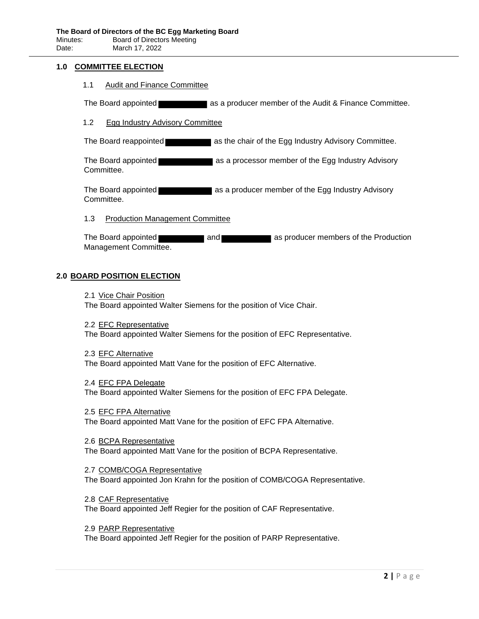#### **1.0 COMMITTEE ELECTION**

1.1 Audit and Finance Committee

The Board appointed **as a producer member of the Audit & Finance Committee.** 

#### 1.2 Egg Industry Advisory Committee

The Board reappointed **as the chair of the Egg Industry Advisory Committee.** 

The Board appointed as a processor member of the Egg Industry Advisory Committee.

The Board appointed **as a state as a producer member of the Egg Industry Advisory** Committee.

1.3 Production Management Committee

The Board appointed **and as producer members of the Production** Management Committee.

#### **2.0 BOARD POSITION ELECTION**

2.1 Vice Chair Position

The Board appointed Walter Siemens for the position of Vice Chair.

2.2 EFC Representative

The Board appointed Walter Siemens for the position of EFC Representative.

- 2.3 EFC Alternative The Board appointed Matt Vane for the position of EFC Alternative.
- 2.4 EFC FPA Delegate The Board appointed Walter Siemens for the position of EFC FPA Delegate.
- 2.5 EFC FPA Alternative The Board appointed Matt Vane for the position of EFC FPA Alternative.

2.6 BCPA Representative The Board appointed Matt Vane for the position of BCPA Representative.

2.7 COMB/COGA Representative The Board appointed Jon Krahn for the position of COMB/COGA Representative.

2.8 CAF Representative The Board appointed Jeff Regier for the position of CAF Representative.

2.9 PARP Representative The Board appointed Jeff Regier for the position of PARP Representative.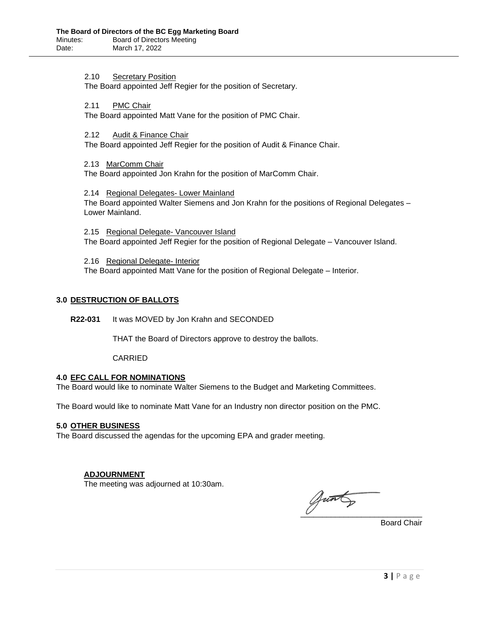2.10 Secretary Position

The Board appointed Jeff Regier for the position of Secretary.

2.11 PMC Chair

The Board appointed Matt Vane for the position of PMC Chair.

2.12 Audit & Finance Chair

The Board appointed Jeff Regier for the position of Audit & Finance Chair.

2.13 MarComm Chair

The Board appointed Jon Krahn for the position of MarComm Chair.

2.14 Regional Delegates- Lower Mainland The Board appointed Walter Siemens and Jon Krahn for the positions of Regional Delegates – Lower Mainland.

2.15 Regional Delegate- Vancouver Island The Board appointed Jeff Regier for the position of Regional Delegate – Vancouver Island.

2.16 Regional Delegate- Interior The Board appointed Matt Vane for the position of Regional Delegate – Interior.

#### **3.0 DESTRUCTION OF BALLOTS**

**R22-031** It was MOVED by Jon Krahn and SECONDED

THAT the Board of Directors approve to destroy the ballots.

CARRIED

## **4.0 EFC CALL FOR NOMINATIONS**

The Board would like to nominate Walter Siemens to the Budget and Marketing Committees.

The Board would like to nominate Matt Vane for an Industry non director position on the PMC.

#### **5.0 OTHER BUSINESS**

The Board discussed the agendas for the upcoming EPA and grader meeting.

## **ADJOURNMENT**

The meeting was adjourned at 10:30am.

 $\overline{\mathcal{C}}$  , we can also the set of  $\overline{\mathcal{C}}$ 

Board Chair